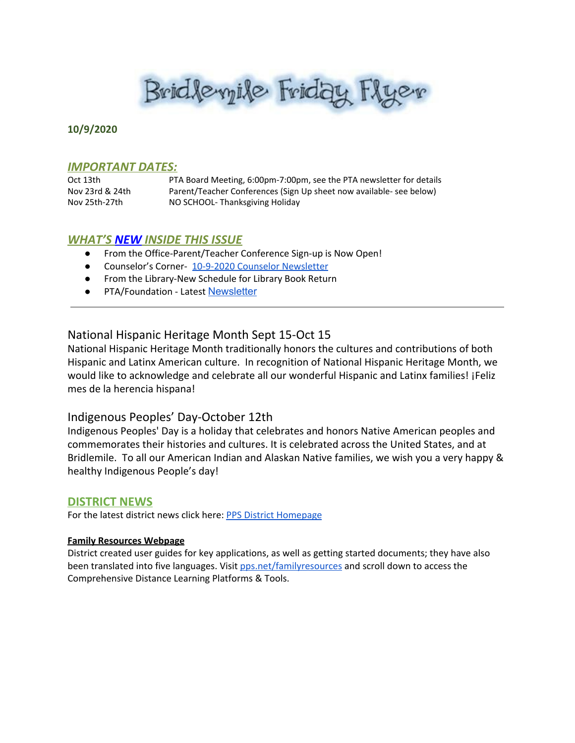Brid levyile Friday Flyer

#### **10/9/2020**

## *IMPORTANT DATES:*

Oct 13th PTA Board Meeting, 6:00pm-7:00pm, see the PTA newsletter for details Nov 23rd & 24th Parent/Teacher Conferences (Sign Up sheet now available- see below) Nov 25th-27th NO SCHOOL- Thanksgiving Holiday

## *WHAT'S NEW INSIDE THIS ISSUE*

- From the Office-Parent/Teacher Conference Sign-up is Now Open!
- Counselor's Corner- 10-9-2020 Counselor [Newsletter](https://docs.google.com/document/d/1fAnZYrlxyAR0N1ci3gbt_xjMLZymfOpU9QAh1kSVhys/edit?usp=sharing)
- From the Library-New Schedule for Library Book Return
- PTA/Foundation Latest [Newsletter](https://docs.google.com/document/d/e/2PACX-1vQlZCPHtKxqO7qpJwiwgoeaZ1ERHVLgg6z0JNYJMTulwn7xlOVY_X2I1ZV9nntsGHP57LEZ_uSufaFj/pub)

## National Hispanic Heritage Month Sept 15-Oct 15

National Hispanic Heritage Month traditionally honors the cultures and contributions of both Hispanic and Latinx American culture. In recognition of National Hispanic Heritage Month, we would like to acknowledge and celebrate all our wonderful Hispanic and Latinx families! ¡Feliz mes de la herencia hispana!

## Indigenous Peoples' Day-October 12th

Indigenous Peoples' Day is a holiday that celebrates and honors Native American peoples and commemorates their histories and cultures. It is celebrated across the United States, and at Bridlemile. To all our American Indian and Alaskan Native families, we wish you a very happy & healthy Indigenous People's day!

#### **DISTRICT NEWS**

For the latest district news click here: PPS District [Homepage](https://www.pps.net/portland)

#### **Family Resources Webpage**

District created user guides for key applications, as well as getting started documents; they have also been translated into five languages. Visit [pps.net/familyresources](http://pps.net/familyresources) and scroll down to access the Comprehensive Distance Learning Platforms & Tools.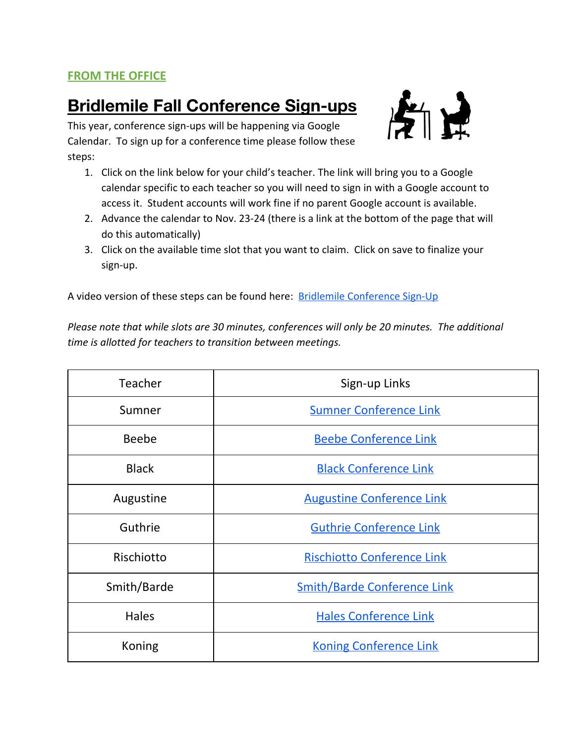## **FROM THE OFFICE**

# **Bridlemile Fall Conference Sign-ups**



This year, conference sign-ups will be happening via Google Calendar. To sign up for a conference time please follow these steps:

- 1. Click on the link below for your child's teacher. The link will bring you to a Google calendar specific to each teacher so you will need to sign in with a Google account to access it. Student accounts will work fine if no parent Google account is available.
- 2. Advance the calendar to Nov. 23-24 (there is a link at the bottom of the page that will do this automatically)
- 3. Click on the available time slot that you want to claim. Click on save to finalize your sign-up.

A video version of these steps can be found here: [Bridlemile Conference Sign-Up](https://drive.google.com/file/d/1qJ12afpeNdaZ8PdcEeJ7HWXZM4d7waDf/view)

*Please note that while slots are 30 minutes, conferences will only be 20 minutes. The additional time is allotted for teachers to transition between meetings.*

| Teacher       | Sign-up Links                      |
|---------------|------------------------------------|
| Sumner        | <b>Sumner Conference Link</b>      |
| <b>Beebe</b>  | <b>Beebe Conference Link</b>       |
| <b>Black</b>  | <b>Black Conference Link</b>       |
| Augustine     | <b>Augustine Conference Link</b>   |
| Guthrie       | <b>Guthrie Conference Link</b>     |
| Rischiotto    | <b>Rischiotto Conference Link</b>  |
| Smith/Barde   | <b>Smith/Barde Conference Link</b> |
| <b>Hales</b>  | <b>Hales Conference Link</b>       |
| <b>Koning</b> | <b>Koning Conference Link</b>      |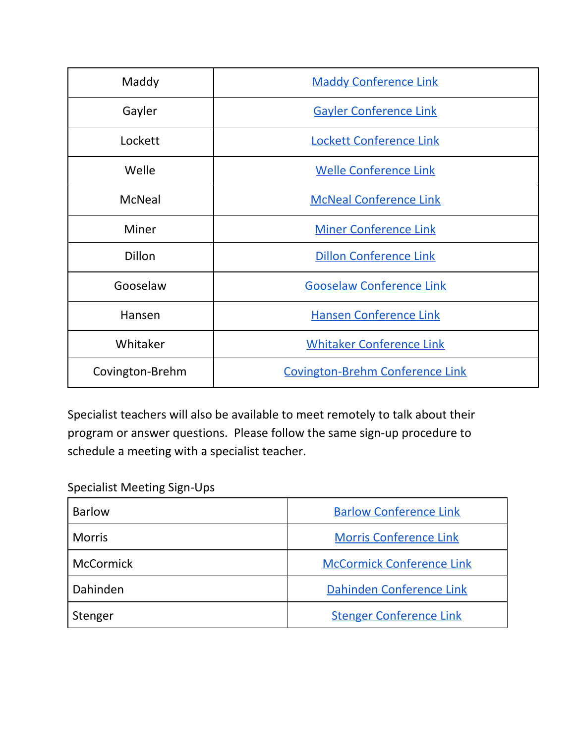| Maddy           | <b>Maddy Conference Link</b>           |
|-----------------|----------------------------------------|
| Gayler          | <b>Gayler Conference Link</b>          |
| Lockett         | <b>Lockett Conference Link</b>         |
| Welle           | <b>Welle Conference Link</b>           |
| <b>McNeal</b>   | <b>McNeal Conference Link</b>          |
| <b>Miner</b>    | <b>Miner Conference Link</b>           |
| <b>Dillon</b>   | <b>Dillon Conference Link</b>          |
| Gooselaw        | <b>Gooselaw Conference Link</b>        |
| Hansen          | <b>Hansen Conference Link</b>          |
| Whitaker        | <b>Whitaker Conference Link</b>        |
| Covington-Brehm | <b>Covington-Brehm Conference Link</b> |

Specialist teachers will also be available to meet remotely to talk about their program or answer questions. Please follow the same sign-up procedure to schedule a meeting with a specialist teacher.

Specialist Meeting Sign-Ups

| <b>Barlow</b>    | <b>Barlow Conference Link</b>    |
|------------------|----------------------------------|
| <b>Morris</b>    | <b>Morris Conference Link</b>    |
| <b>McCormick</b> | <b>McCormick Conference Link</b> |
| Dahinden         | Dahinden Conference Link         |
| Stenger          | <b>Stenger Conference Link</b>   |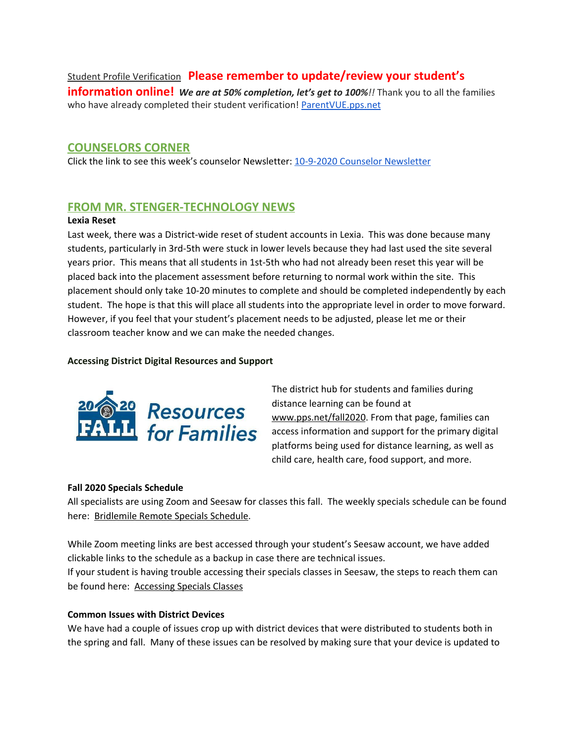Student Profile Verification **Please remember to update/review your student's**

**information online!** *We are at 50% completion, let's get to 100%!!* Thank you to all the families who have already completed their student verification! [ParentVUE.pps.net](https://www.pps.net/Page/2341)

## **COUNSELORS CORNER**

Click the link to see this week's counselor Newsletter: 10-9-2020 Counselor [Newsletter](https://docs.google.com/document/d/1fAnZYrlxyAR0N1ci3gbt_xjMLZymfOpU9QAh1kSVhys/edit?usp=sharing)

## **FROM MR. STENGER-TECHNOLOGY NEWS**

#### **Lexia Reset**

Last week, there was a District-wide reset of student accounts in Lexia. This was done because many students, particularly in 3rd-5th were stuck in lower levels because they had last used the site several years prior. This means that all students in 1st-5th who had not already been reset this year will be placed back into the placement assessment before returning to normal work within the site. This placement should only take 10-20 minutes to complete and should be completed independently by each student. The hope is that this will place all students into the appropriate level in order to move forward. However, if you feel that your student's placement needs to be adjusted, please let me or their classroom teacher know and we can make the needed changes.

#### **Accessing District Digital Resources and Support**



The district hub for students and families during distance learning can be found at [www.pps.net/fall2020](http://www.pps.net/fall2020). From that page, families can access information and support for the primary digital platforms being used for distance learning, as well as child care, health care, food support, and more.

#### **Fall 2020 Specials Schedule**

All specialists are using Zoom and Seesaw for classes this fall. The weekly specials schedule can be found here: [Bridlemile](https://docs.google.com/presentation/u/0/d/1UpxJmJgHC2S7KyxMdvI9Bt4agZp4N3qqbH-Yk6qvPD0/edit) Remote Specials Schedule.

While Zoom meeting links are best accessed through your student's Seesaw account, we have added clickable links to the schedule as a backup in case there are technical issues. If your student is having trouble accessing their specials classes in Seesaw, the steps to reach them can be found here: [Accessing](https://docs.google.com/presentation/u/0/d/1QqvQH5Xm7Sux5AjzWLkiq7Kt_gxhKoYQ3tH7t95vJQk/edit) Specials Classes

#### **Common Issues with District Devices**

We have had a couple of issues crop up with district devices that were distributed to students both in the spring and fall. Many of these issues can be resolved by making sure that your device is updated to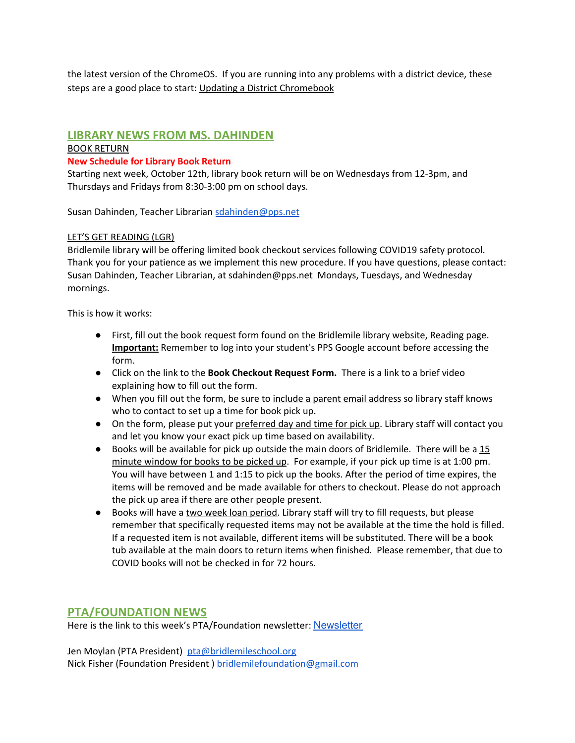the latest version of the ChromeOS. If you are running into any problems with a district device, these steps are a good place to start: Updating a District [Chromebook](https://docs.google.com/document/d/1-XrznKLtkIYGYiFqzRECej-_Arzs0vIDfr5faAbrG6g/preview)

## **LIBRARY NEWS FROM MS. DAHINDEN**

## BOOK RETURN

## **New Schedule for Library Book Return**

Starting next week, October 12th, library book return will be on Wednesdays from 12-3pm, and Thursdays and Fridays from 8:30-3:00 pm on school days.

Susan Dahinden, Teacher Librarian [sdahinden@pps.net](mailto:sdahinden@pps.net)

## LET'S GET READING (LGR)

Bridlemile library will be offering limited book checkout services following COVID19 safety protocol. Thank you for your patience as we implement this new procedure. If you have questions, please contact: Susan Dahinden, Teacher Librarian, at sdahinden@pps.net Mondays, Tuesdays, and Wednesday mornings.

This is how it works:

- First, fill out the book request form found on the Bridlemile library website, Reading page. **Important:** Remember to log into your student's PPS Google account before accessing the form.
- Click on the link to the **Book Checkout Request Form.** There is a link to a brief video explaining how to fill out the form.
- When you fill out the form, be sure to include a parent email address so library staff knows who to contact to set up a time for book pick up.
- On the form, please put your preferred day and time for pick up. Library staff will contact you and let you know your exact pick up time based on availability.
- $\bullet$  Books will be available for pick up outside the main doors of Bridlemile. There will be a  $15$ minute window for books to be picked up. For example, if your pick up time is at 1:00 pm. You will have between 1 and 1:15 to pick up the books. After the period of time expires, the items will be removed and be made available for others to checkout. Please do not approach the pick up area if there are other people present.
- Books will have a two week loan period. Library staff will try to fill requests, but please remember that specifically requested items may not be available at the time the hold is filled. If a requested item is not available, different items will be substituted. There will be a book tub available at the main doors to return items when finished. Please remember, that due to COVID books will not be checked in for 72 hours.

## **PTA/FOUNDATION NEWS**

Here is the link to this week's PTA/Foundation newsletter: [Newsletter](https://docs.google.com/document/d/e/2PACX-1vQlZCPHtKxqO7qpJwiwgoeaZ1ERHVLgg6z0JNYJMTulwn7xlOVY_X2I1ZV9nntsGHP57LEZ_uSufaFj/pub)

Jen Moylan (PTA President) [pta@bridlemileschool.org](mailto:pta@bridlemileschool.org) Nick Fisher (Foundation President) [bridlemilefoundation@gmail.com](mailto:bridlemilefoundation@gmail.com)